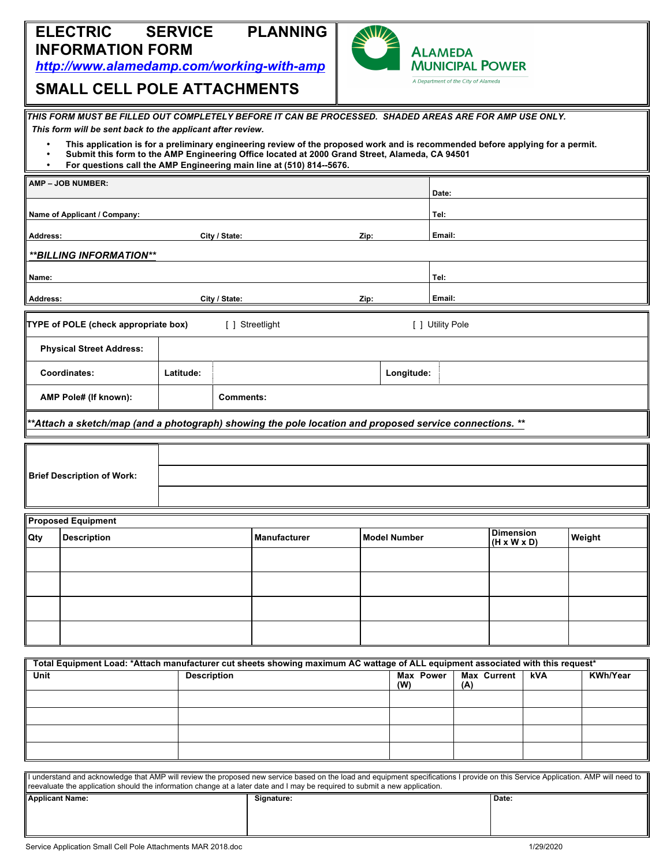## **ELECTRIC SERVICE PLANNING INFORMATION FORM**

*http://www.alamedamp.com/working-with-amp*



# **SMALL CELL POLE ATTACHMENTS**

|                                                 | THIS FORM MUST BE FILLED OUT COMPLETELY BEFORE IT CAN BE PROCESSED. SHADED AREAS ARE FOR AMP USE ONLY.                                                                                                                                                                                                   |                    |                     |                 |      |                     |                  |                         |                  |  |                 |  |
|-------------------------------------------------|----------------------------------------------------------------------------------------------------------------------------------------------------------------------------------------------------------------------------------------------------------------------------------------------------------|--------------------|---------------------|-----------------|------|---------------------|------------------|-------------------------|------------------|--|-----------------|--|
|                                                 | This form will be sent back to the applicant after review.                                                                                                                                                                                                                                               |                    |                     |                 |      |                     |                  |                         |                  |  |                 |  |
| $\bullet$<br>$\bullet$                          | This application is for a preliminary engineering review of the proposed work and is recommended before applying for a permit.<br>Submit this form to the AMP Engineering Office located at 2000 Grand Street, Alameda, CA 94501<br>For questions call the AMP Engineering main line at (510) 814--5676. |                    |                     |                 |      |                     |                  |                         |                  |  |                 |  |
|                                                 | AMP - JOB NUMBER:                                                                                                                                                                                                                                                                                        |                    |                     |                 |      |                     | Date:            |                         |                  |  |                 |  |
|                                                 | Name of Applicant / Company:                                                                                                                                                                                                                                                                             |                    |                     |                 |      |                     | Tel:             |                         |                  |  |                 |  |
| Address:                                        |                                                                                                                                                                                                                                                                                                          |                    | City / State:       |                 | Zip: |                     | Email:           |                         |                  |  |                 |  |
|                                                 | **BILLING INFORMATION**                                                                                                                                                                                                                                                                                  |                    |                     |                 |      |                     |                  |                         |                  |  |                 |  |
| Name:                                           |                                                                                                                                                                                                                                                                                                          |                    |                     |                 |      |                     | Tel:             |                         |                  |  |                 |  |
| Address:<br>City / State:                       |                                                                                                                                                                                                                                                                                                          |                    |                     |                 | Zip: |                     | Email:           |                         |                  |  |                 |  |
|                                                 | TYPE of POLE (check appropriate box)                                                                                                                                                                                                                                                                     |                    |                     | [ ] Streetlight |      |                     | [ ] Utility Pole |                         |                  |  |                 |  |
|                                                 | <b>Physical Street Address:</b>                                                                                                                                                                                                                                                                          |                    |                     |                 |      |                     |                  |                         |                  |  |                 |  |
|                                                 | Coordinates:                                                                                                                                                                                                                                                                                             | Latitude:          |                     |                 |      | Longitude:          |                  |                         |                  |  |                 |  |
|                                                 | AMP Pole# (If known):                                                                                                                                                                                                                                                                                    |                    | <b>Comments:</b>    |                 |      |                     |                  |                         |                  |  |                 |  |
|                                                 | **Attach a sketch/map (and a photograph) showing the pole location and proposed service connections. **                                                                                                                                                                                                  |                    |                     |                 |      |                     |                  |                         |                  |  |                 |  |
|                                                 |                                                                                                                                                                                                                                                                                                          |                    |                     |                 |      |                     |                  |                         |                  |  |                 |  |
|                                                 | <b>Brief Description of Work:</b>                                                                                                                                                                                                                                                                        |                    |                     |                 |      |                     |                  |                         |                  |  |                 |  |
|                                                 |                                                                                                                                                                                                                                                                                                          |                    |                     |                 |      |                     |                  |                         |                  |  |                 |  |
|                                                 |                                                                                                                                                                                                                                                                                                          |                    |                     |                 |      |                     |                  |                         |                  |  |                 |  |
| <b>Proposed Equipment</b><br><b>Description</b> |                                                                                                                                                                                                                                                                                                          |                    | <b>Manufacturer</b> |                 |      | <b>Model Number</b> |                  |                         | <b>Dimension</b> |  | Weight          |  |
| Qty                                             |                                                                                                                                                                                                                                                                                                          |                    |                     |                 |      |                     |                  | $(H \times W \times D)$ |                  |  |                 |  |
|                                                 |                                                                                                                                                                                                                                                                                                          |                    |                     |                 |      |                     |                  |                         |                  |  |                 |  |
|                                                 |                                                                                                                                                                                                                                                                                                          |                    |                     |                 |      |                     |                  |                         |                  |  |                 |  |
|                                                 |                                                                                                                                                                                                                                                                                                          |                    |                     |                 |      |                     |                  |                         |                  |  |                 |  |
|                                                 |                                                                                                                                                                                                                                                                                                          |                    |                     |                 |      |                     |                  |                         |                  |  |                 |  |
|                                                 |                                                                                                                                                                                                                                                                                                          |                    |                     |                 |      |                     |                  |                         |                  |  |                 |  |
| Unit                                            | Total Equipment Load: *Attach manufacturer cut sheets showing maximum AC wattage of ALL equipment associated with this request*                                                                                                                                                                          | <b>Description</b> |                     |                 |      | <b>Max Power</b>    |                  | <b>Max Current</b>      | kVA              |  | <b>KWh/Year</b> |  |
|                                                 |                                                                                                                                                                                                                                                                                                          |                    |                     |                 |      | (W)                 | (A)              |                         |                  |  |                 |  |
|                                                 |                                                                                                                                                                                                                                                                                                          |                    |                     |                 |      |                     |                  |                         |                  |  |                 |  |
|                                                 |                                                                                                                                                                                                                                                                                                          |                    |                     |                 |      |                     |                  |                         |                  |  |                 |  |
|                                                 |                                                                                                                                                                                                                                                                                                          |                    |                     |                 |      |                     |                  |                         |                  |  |                 |  |
|                                                 | I understand and acknowledge that AMP will review the proposed new service based on the load and equipment specifications I provide on this Service Application. AMP will need to                                                                                                                        |                    |                     |                 |      |                     |                  |                         |                  |  |                 |  |
|                                                 | reevaluate the application should the information change at a later date and I may be required to submit a new application.                                                                                                                                                                              |                    |                     |                 |      |                     |                  |                         |                  |  |                 |  |
|                                                 | <b>Applicant Name:</b>                                                                                                                                                                                                                                                                                   |                    |                     | Signature:      |      |                     |                  | Date:                   |                  |  |                 |  |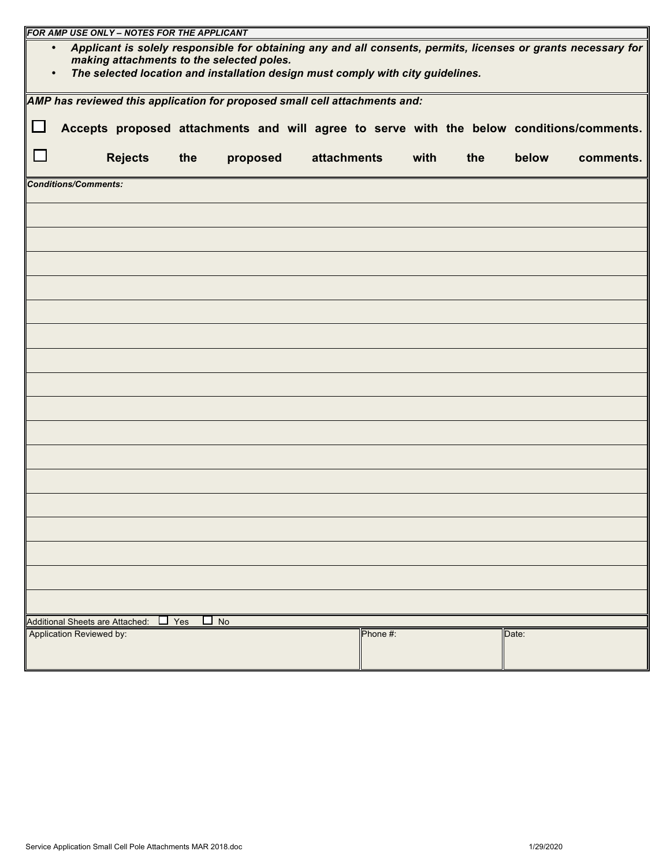| FOR AMP USE ONLY - NOTES FOR THE APPLICANT                                                                                                                              |                          |                |     |  |          |  |             |  |          |      |  |     |       |                                                                                          |
|-------------------------------------------------------------------------------------------------------------------------------------------------------------------------|--------------------------|----------------|-----|--|----------|--|-------------|--|----------|------|--|-----|-------|------------------------------------------------------------------------------------------|
| Applicant is solely responsible for obtaining any and all consents, permits, licenses or grants necessary for<br>$\bullet$<br>making attachments to the selected poles. |                          |                |     |  |          |  |             |  |          |      |  |     |       |                                                                                          |
| The selected location and installation design must comply with city guidelines.                                                                                         |                          |                |     |  |          |  |             |  |          |      |  |     |       |                                                                                          |
| AMP has reviewed this application for proposed small cell attachments and:                                                                                              |                          |                |     |  |          |  |             |  |          |      |  |     |       |                                                                                          |
| レ                                                                                                                                                                       |                          |                |     |  |          |  |             |  |          |      |  |     |       | Accepts proposed attachments and will agree to serve with the below conditions/comments. |
|                                                                                                                                                                         |                          | <b>Rejects</b> | the |  | proposed |  | attachments |  |          | with |  | the | below | comments.                                                                                |
| <b>Conditions/Comments:</b>                                                                                                                                             |                          |                |     |  |          |  |             |  |          |      |  |     |       |                                                                                          |
|                                                                                                                                                                         |                          |                |     |  |          |  |             |  |          |      |  |     |       |                                                                                          |
|                                                                                                                                                                         |                          |                |     |  |          |  |             |  |          |      |  |     |       |                                                                                          |
|                                                                                                                                                                         |                          |                |     |  |          |  |             |  |          |      |  |     |       |                                                                                          |
|                                                                                                                                                                         |                          |                |     |  |          |  |             |  |          |      |  |     |       |                                                                                          |
|                                                                                                                                                                         |                          |                |     |  |          |  |             |  |          |      |  |     |       |                                                                                          |
|                                                                                                                                                                         |                          |                |     |  |          |  |             |  |          |      |  |     |       |                                                                                          |
|                                                                                                                                                                         |                          |                |     |  |          |  |             |  |          |      |  |     |       |                                                                                          |
|                                                                                                                                                                         |                          |                |     |  |          |  |             |  |          |      |  |     |       |                                                                                          |
|                                                                                                                                                                         |                          |                |     |  |          |  |             |  |          |      |  |     |       |                                                                                          |
|                                                                                                                                                                         |                          |                |     |  |          |  |             |  |          |      |  |     |       |                                                                                          |
|                                                                                                                                                                         |                          |                |     |  |          |  |             |  |          |      |  |     |       |                                                                                          |
|                                                                                                                                                                         |                          |                |     |  |          |  |             |  |          |      |  |     |       |                                                                                          |
|                                                                                                                                                                         |                          |                |     |  |          |  |             |  |          |      |  |     |       |                                                                                          |
|                                                                                                                                                                         |                          |                |     |  |          |  |             |  |          |      |  |     |       |                                                                                          |
|                                                                                                                                                                         |                          |                |     |  |          |  |             |  |          |      |  |     |       |                                                                                          |
|                                                                                                                                                                         |                          |                |     |  |          |  |             |  |          |      |  |     |       |                                                                                          |
| $\Box$ No<br>Additional Sheets are Attached:<br>$\Box$ Yes                                                                                                              |                          |                |     |  |          |  |             |  |          |      |  |     |       |                                                                                          |
|                                                                                                                                                                         | Application Reviewed by: |                |     |  |          |  |             |  | Phone #: |      |  |     | Date: |                                                                                          |
|                                                                                                                                                                         |                          |                |     |  |          |  |             |  |          |      |  |     |       |                                                                                          |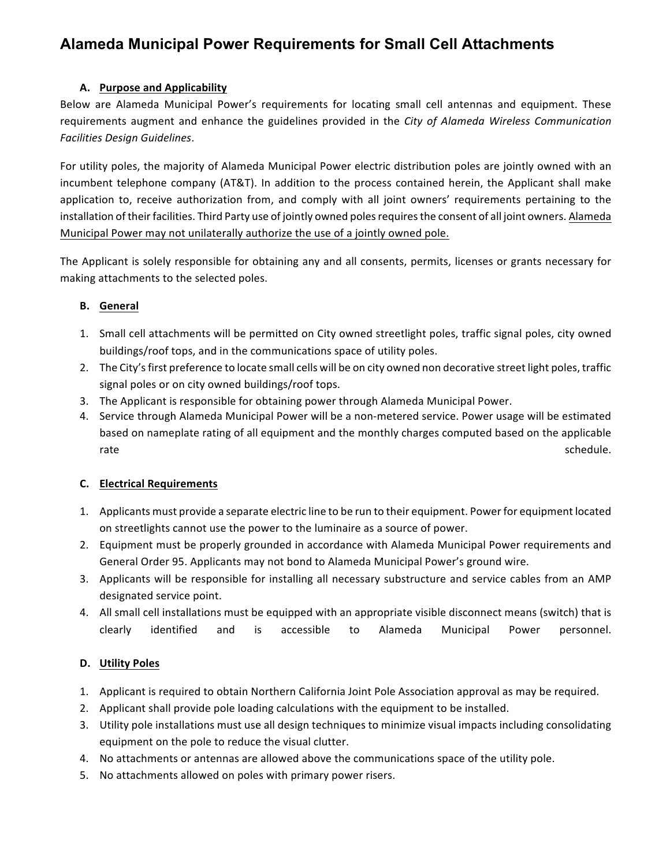## **Alameda Municipal Power Requirements for Small Cell Attachments**

#### **A.** Purpose and Applicability

Below are Alameda Municipal Power's requirements for locating small cell antennas and equipment. These requirements augment and enhance the guidelines provided in the *City of Alameda Wireless Communication Facilities Design Guidelines*. 

For utility poles, the majority of Alameda Municipal Power electric distribution poles are jointly owned with an incumbent telephone company (AT&T). In addition to the process contained herein, the Applicant shall make application to, receive authorization from, and comply with all joint owners' requirements pertaining to the installation of their facilities. Third Party use of jointly owned poles requires the consent of all joint owners. Alameda Municipal Power may not unilaterally authorize the use of a jointly owned pole.

The Applicant is solely responsible for obtaining any and all consents, permits, licenses or grants necessary for making attachments to the selected poles.

#### **B. General**

- 1. Small cell attachments will be permitted on City owned streetlight poles, traffic signal poles, city owned buildings/roof tops, and in the communications space of utility poles.
- 2. The City's first preference to locate small cells will be on city owned non decorative street light poles, traffic signal poles or on city owned buildings/roof tops.
- 3. The Applicant is responsible for obtaining power through Alameda Municipal Power.
- 4. Service through Alameda Municipal Power will be a non-metered service. Power usage will be estimated based on nameplate rating of all equipment and the monthly charges computed based on the applicable  $\blacksquare$ rate $\blacksquare$ schedule. $\blacksquare$ schedule. $\blacksquare$

#### **C. Electrical Requirements**

- 1. Applicants must provide a separate electric line to be run to their equipment. Power for equipment located on streetlights cannot use the power to the luminaire as a source of power.
- 2. Equipment must be properly grounded in accordance with Alameda Municipal Power requirements and General Order 95. Applicants may not bond to Alameda Municipal Power's ground wire.
- 3. Applicants will be responsible for installing all necessary substructure and service cables from an AMP designated service point.
- 4. All small cell installations must be equipped with an appropriate visible disconnect means (switch) that is clearly identified and is accessible to Alameda Municipal Power personnel.

#### **D. Utility Poles**

- 1. Applicant is required to obtain Northern California Joint Pole Association approval as may be required.
- 2. Applicant shall provide pole loading calculations with the equipment to be installed.
- 3. Utility pole installations must use all design techniques to minimize visual impacts including consolidating equipment on the pole to reduce the visual clutter.
- 4. No attachments or antennas are allowed above the communications space of the utility pole.
- 5. No attachments allowed on poles with primary power risers.